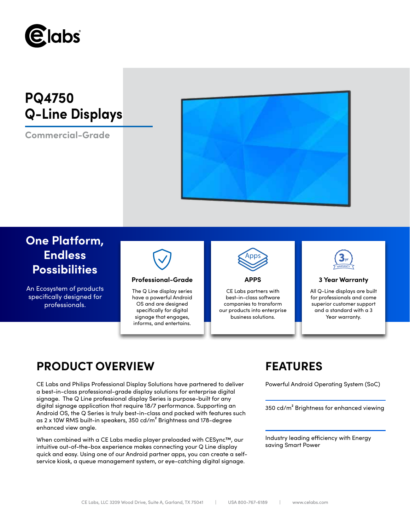

# **PQ4750 Q-Line Displays**

**Commercial-Grade**



# **One Platform, Endless Possibilities**

An Ecosystem of products specifically designed for professionals.



### **Professional-Grade APPS 3 Year Warranty**

The Q Line display series have a powerful Android OS and are designed specifically for digital signage that engages, informs, and entertains.



CE Labs partners with best-in-class software companies to transform our products into enterprise business solutions.



All Q-Line displays are built for professionals and come superior customer support and a standard with a 3 Year warranty.

## **PRODUCT OVERVIEW FEATURES**

CE Labs and Philips Professional Display Solutions have partnered to deliver Powerful Android Operating System (SoC) a best-in-class professional-grade display solutions for enterprise digital signage. The Q Line professional display Series is purpose-built for any digital signage application that require 18/7 performance. Supporting an Android OS, the Q Series is truly best-in-class and packed with features such as 2 x 10W RMS built-in speakers, 350 cd/m² Brightness and 178-degree enhanced view angle.

When combined with a CE Labs media player preloaded with CESync™, our intuitive out-of-the-box experience makes connecting your Q Line display quick and easy. Using one of our Android partner apps, you can create a selfservice kiosk, a queue management system, or eye-catching digital signage.

350 cd/m² Brightness for enhanced viewing

Industry leading efficiency with Energy saving Smart Power